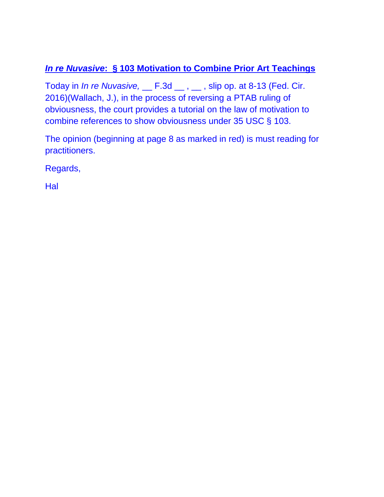# *In re Nuvasive***: § 103 Motivation to Combine Prior Art Teachings**

Today in *In re Nuvasive,* \_\_ F.3d \_\_ , \_\_ , slip op. at 8-13 (Fed. Cir. 2016)(Wallach, J.), in the process of reversing a PTAB ruling of obviousness, the court provides a tutorial on the law of motivation to combine references to show obviousness under 35 USC § 103.

The opinion (beginning at page 8 as marked in red) is must reading for practitioners.

Regards,

Hal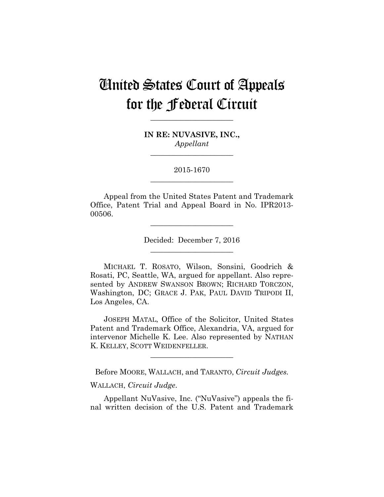# United States Court of Appeals for the Federal Circuit

**\_\_\_\_\_\_\_\_\_\_\_\_\_\_\_\_\_\_\_\_\_\_** 

**IN RE: NUVASIVE, INC.,** *Appellant*

**\_\_\_\_\_\_\_\_\_\_\_\_\_\_\_\_\_\_\_\_\_\_** 

2015-1670 **\_\_\_\_\_\_\_\_\_\_\_\_\_\_\_\_\_\_\_\_\_\_** 

Appeal from the United States Patent and Trademark Office, Patent Trial and Appeal Board in No. IPR2013- 00506.

> Decided: December 7, 2016 **\_\_\_\_\_\_\_\_\_\_\_\_\_\_\_\_\_\_\_\_\_\_**

**\_\_\_\_\_\_\_\_\_\_\_\_\_\_\_\_\_\_\_\_\_\_** 

 MICHAEL T. ROSATO, Wilson, Sonsini, Goodrich & Rosati, PC, Seattle, WA, argued for appellant. Also represented by ANDREW SWANSON BROWN; RICHARD TORCZON, Washington, DC; GRACE J. PAK, PAUL DAVID TRIPODI II, Los Angeles, CA.

JOSEPH MATAL, Office of the Solicitor, United States Patent and Trademark Office, Alexandria, VA, argued for intervenor Michelle K. Lee. Also represented by NATHAN K. KELLEY, SCOTT WEIDENFELLER.

**\_\_\_\_\_\_\_\_\_\_\_\_\_\_\_\_\_\_\_\_\_\_** 

Before MOORE, WALLACH, and TARANTO, *Circuit Judges.*

WALLACH, *Circuit Judge*.

Appellant NuVasive, Inc. ("NuVasive") appeals the final written decision of the U.S. Patent and Trademark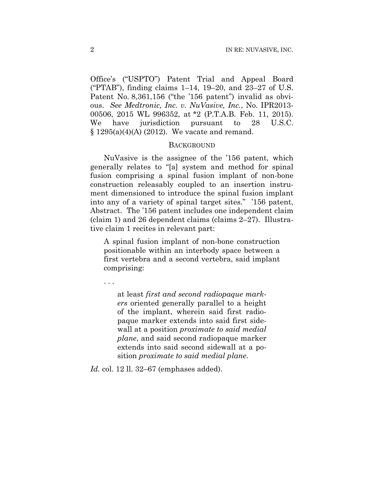Office's ("USPTO") Patent Trial and Appeal Board ("PTAB"), finding claims 1–14, 19–20, and 23–27 of U.S. Patent No. 8,361,156 ("the '156 patent") invalid as obvious. *See Medtronic, Inc. v. NuVasive, Inc.*, No. IPR2013- 00506, 2015 WL 996352, at \*2 (P.T.A.B. Feb. 11, 2015). We have jurisdiction pursuant to 28 U.S.C. § 1295(a)(4)(A) (2012). We vacate and remand.

#### **BACKGROUND**

NuVasive is the assignee of the '156 patent, which generally relates to "[a] system and method for spinal fusion comprising a spinal fusion implant of non-bone construction releasably coupled to an insertion instrument dimensioned to introduce the spinal fusion implant into any of a variety of spinal target sites." '156 patent, Abstract. The '156 patent includes one independent claim (claim 1) and 26 dependent claims (claims 2–27). Illustrative claim 1 recites in relevant part:

A spinal fusion implant of non-bone construction positionable within an interbody space between a first vertebra and a second vertebra, said implant comprising:

. . .

at least *first and second radiopaque markers* oriented generally parallel to a height of the implant, wherein said first radiopaque marker extends into said first sidewall at a position *proximate to said medial plane*, and said second radiopaque marker extends into said second sidewall at a position *proximate to said medial plane*.

*Id.* col. 12 ll. 32–67 (emphases added).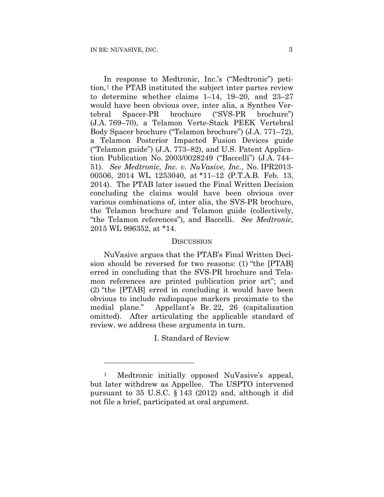1

In response to Medtronic, Inc.'s ("Medtronic") petition,1 the PTAB instituted the subject inter partes review to determine whether claims 1–14, 19–20, and 23–27 would have been obvious over, inter alia, a Synthes Vertebral Spacer-PR brochure ("SVS-PR brochure") (J.A. 769–70), a Telamon Verte-Stack PEEK Vertebral Body Spacer brochure ("Telamon brochure") (J.A. 771–72), a Telamon Posterior Impacted Fusion Devices guide ("Telamon guide") (J.A. 773–82), and U.S. Patent Application Publication No. 2003/0028249 ("Baccelli") (J.A. 744– 51). *See Medtronic, Inc. v. NuVasive, Inc.*, No. IPR2013- 00506, 2014 WL 1253040, at \*11–12 (P.T.A.B. Feb. 13, 2014). The PTAB later issued the Final Written Decision concluding the claims would have been obvious over various combinations of, inter alia, the SVS-PR brochure, the Telamon brochure and Telamon guide (collectively, "the Telamon references"), and Baccelli. *See Medtronic*, 2015 WL 996352, at \*14.

#### **DISCUSSION**

NuVasive argues that the PTAB's Final Written Decision should be reversed for two reasons: (1) "the [PTAB] erred in concluding that the SVS-PR brochure and Telamon references are printed publication prior art"; and (2) "the [PTAB] erred in concluding it would have been obvious to include radiopaque markers proximate to the medial plane." Appellant's Br. 22, 26 (capitalization omitted). After articulating the applicable standard of review, we address these arguments in turn.

I. Standard of Review

<sup>1</sup> Medtronic initially opposed NuVasive's appeal, but later withdrew as Appellee. The USPTO intervened pursuant to 35 U.S.C. § 143 (2012) and, although it did not file a brief, participated at oral argument.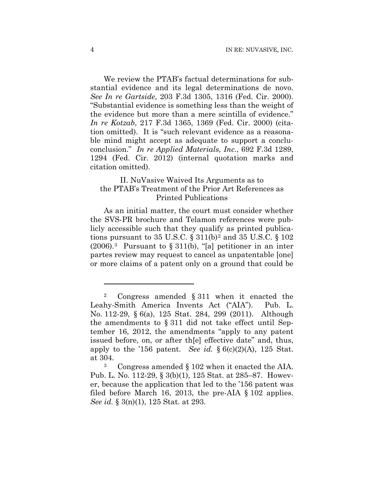We review the PTAB's factual determinations for substantial evidence and its legal determinations de novo. *See In re Gartside*, 203 F.3d 1305, 1316 (Fed. Cir. 2000). "Substantial evidence is something less than the weight of the evidence but more than a mere scintilla of evidence." *In re Kotzab*, 217 F.3d 1365, 1369 (Fed. Cir. 2000) (citation omitted). It is "such relevant evidence as a reasonable mind might accept as adequate to support a concluconclusion." *In re Applied Materials, Inc.*, 692 F.3d 1289, 1294 (Fed. Cir. 2012) (internal quotation marks and citation omitted).

## II. NuVasive Waived Its Arguments as to the PTAB's Treatment of the Prior Art References as Printed Publications

As an initial matter, the court must consider whether the SVS-PR brochure and Telamon references were publicly accessible such that they qualify as printed publications pursuant to 35 U.S.C.  $\S 311(b)^2$  and 35 U.S.C.  $\S 102$  $(2006).$ <sup>3</sup> Pursuant to § 311(b), "[a] petitioner in an inter partes review may request to cancel as unpatentable [one] or more claims of a patent only on a ground that could be

1

<sup>2</sup> Congress amended § 311 when it enacted the Leahy-Smith America Invents Act ("AIA"). Pub. L. No. 112-29, § 6(a), 125 Stat. 284, 299 (2011). Although the amendments to § 311 did not take effect until September 16, 2012, the amendments "apply to any patent issued before, on, or after th[e] effective date" and, thus, apply to the '156 patent. *See id.*  $\S 6(c)(2)(A)$ , 125 Stat. at 304.

<sup>3</sup> Congress amended § 102 when it enacted the AIA. Pub. L. No. 112-29, § 3(b)(1), 125 Stat. at 285–87. However, because the application that led to the '156 patent was filed before March 16, 2013, the pre-AIA § 102 applies. *See id.* § 3(n)(1), 125 Stat. at 293.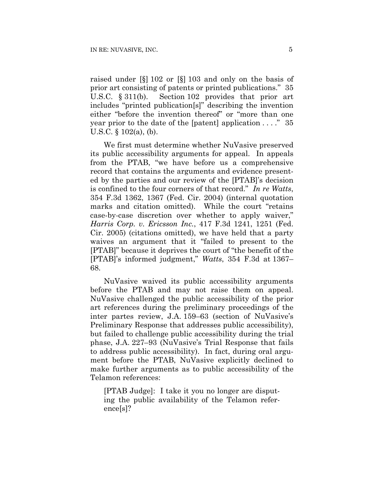raised under [§] 102 or [§] 103 and only on the basis of prior art consisting of patents or printed publications." 35 U.S.C. § 311(b). Section 102 provides that prior art includes "printed publication[s]" describing the invention either "before the invention thereof" or "more than one year prior to the date of the [patent] application  $\dots$  ." 35 U.S.C. § 102(a), (b).

We first must determine whether NuVasive preserved its public accessibility arguments for appeal. In appeals from the PTAB, "we have before us a comprehensive record that contains the arguments and evidence presented by the parties and our review of the [PTAB]'s decision is confined to the four corners of that record." *In re Watts*, 354 F.3d 1362, 1367 (Fed. Cir. 2004) (internal quotation marks and citation omitted). While the court "retains case-by-case discretion over whether to apply waiver," *Harris Corp. v. Ericsson Inc.*, 417 F.3d 1241, 1251 (Fed. Cir. 2005) (citations omitted), we have held that a party waives an argument that it "failed to present to the [PTAB]" because it deprives the court of "the benefit of the [PTAB]'s informed judgment," *Watts*, 354 F.3d at 1367– 68.

NuVasive waived its public accessibility arguments before the PTAB and may not raise them on appeal. NuVasive challenged the public accessibility of the prior art references during the preliminary proceedings of the inter partes review, J.A. 159–63 (section of NuVasive's Preliminary Response that addresses public accessibility), but failed to challenge public accessibility during the trial phase, J.A. 227–93 (NuVasive's Trial Response that fails to address public accessibility). In fact, during oral argument before the PTAB, NuVasive explicitly declined to make further arguments as to public accessibility of the Telamon references:

[PTAB Judge]: I take it you no longer are disputing the public availability of the Telamon reference[s]?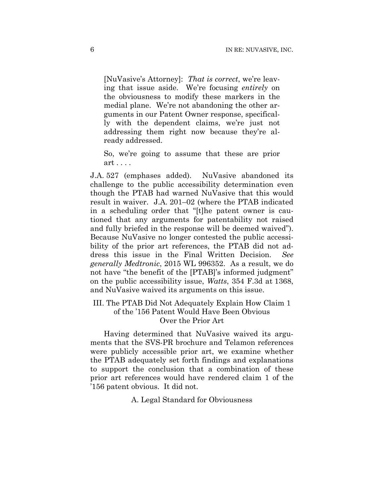[NuVasive's Attorney]: *That is correct*, we're leaving that issue aside. We're focusing *entirely* on the obviousness to modify these markers in the medial plane. We're not abandoning the other arguments in our Patent Owner response, specifically with the dependent claims, we're just not addressing them right now because they're already addressed.

So, we're going to assume that these are prior art . . . .

J.A. 527 (emphases added). NuVasive abandoned its challenge to the public accessibility determination even though the PTAB had warned NuVasive that this would result in waiver. J.A. 201–02 (where the PTAB indicated in a scheduling order that "[t]he patent owner is cautioned that any arguments for patentability not raised and fully briefed in the response will be deemed waived"). Because NuVasive no longer contested the public accessibility of the prior art references, the PTAB did not address this issue in the Final Written Decision. *See generally Medtronic*, 2015 WL 996352. As a result, we do not have "the benefit of the [PTAB]'s informed judgment" on the public accessibility issue, *Watts*, 354 F.3d at 1368, and NuVasive waived its arguments on this issue.

# III. The PTAB Did Not Adequately Explain How Claim 1 of the '156 Patent Would Have Been Obvious Over the Prior Art

Having determined that NuVasive waived its arguments that the SVS-PR brochure and Telamon references were publicly accessible prior art, we examine whether the PTAB adequately set forth findings and explanations to support the conclusion that a combination of these prior art references would have rendered claim 1 of the '156 patent obvious. It did not.

A. Legal Standard for Obviousness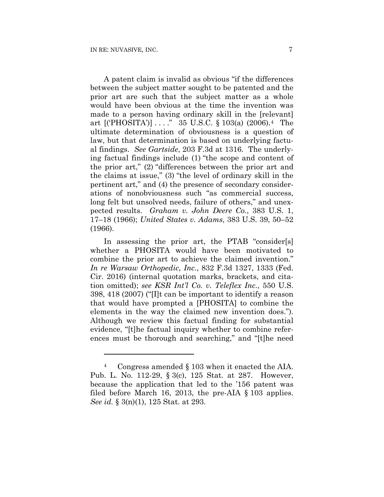<u>.</u>

A patent claim is invalid as obvious "if the differences between the subject matter sought to be patented and the prior art are such that the subject matter as a whole would have been obvious at the time the invention was made to a person having ordinary skill in the [relevant] art [('PHOSITA')] . . . ." 35 U.S.C. § 103(a) (2006).4 The ultimate determination of obviousness is a question of law, but that determination is based on underlying factual findings. *See Gartside*, 203 F.3d at 1316. The underlying factual findings include (1) "the scope and content of the prior art," (2) "differences between the prior art and the claims at issue," (3) "the level of ordinary skill in the pertinent art," and (4) the presence of secondary considerations of nonobviousness such "as commercial success, long felt but unsolved needs, failure of others," and unexpected results. *Graham v. John Deere Co.*, 383 U.S. 1, 17–18 (1966); *United States v. Adams*, 383 U.S. 39, 50–52 (1966).

In assessing the prior art, the PTAB "consider[s] whether a PHOSITA would have been motivated to combine the prior art to achieve the claimed invention." *In re Warsaw Orthopedic, Inc.*, 832 F.3d 1327, 1333 (Fed. Cir. 2016) (internal quotation marks, brackets, and citation omitted); *see KSR Int'l Co. v. Teleflex Inc.*, 550 U.S. 398, 418 (2007) ("[I]t can be important to identify a reason that would have prompted a [PHOSITA] to combine the elements in the way the claimed new invention does."). Although we review this factual finding for substantial evidence, "[t]he factual inquiry whether to combine references must be thorough and searching," and "[t]he need

<sup>4</sup> Congress amended § 103 when it enacted the AIA. Pub. L. No. 112-29, § 3(c), 125 Stat. at 287. However, because the application that led to the '156 patent was filed before March 16, 2013, the pre-AIA § 103 applies. *See id.* § 3(n)(1), 125 Stat. at 293.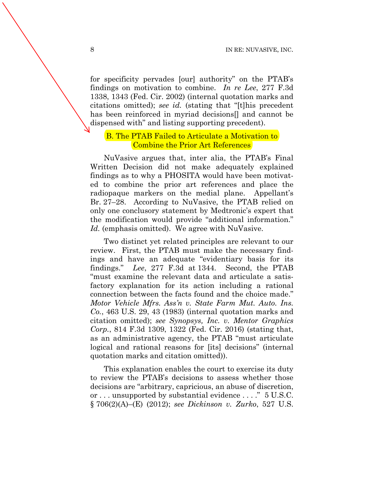for specificity pervades [our] authority" on the PTAB's findings on motivation to combine. *In re Lee*, 277 F.3d 1338, 1343 (Fed. Cir. 2002) (internal quotation marks and citations omitted); *see id.* (stating that "[t]his precedent has been reinforced in myriad decisions[] and cannot be dispensed with" and listing supporting precedent).

## B. The PTAB Failed to Articulate a Motivation to Combine the Prior Art References

NuVasive argues that, inter alia, the PTAB's Final Written Decision did not make adequately explained findings as to why a PHOSITA would have been motivated to combine the prior art references and place the radiopaque markers on the medial plane. Appellant's Br. 27–28. According to NuVasive, the PTAB relied on only one conclusory statement by Medtronic's expert that the modification would provide "additional information." Id. (emphasis omitted). We agree with NuVasive.

Two distinct yet related principles are relevant to our review. First, the PTAB must make the necessary findings and have an adequate "evidentiary basis for its findings." *Lee*, 277 F.3d at 1344. Second, the PTAB "must examine the relevant data and articulate a satisfactory explanation for its action including a rational connection between the facts found and the choice made." *Motor Vehicle Mfrs. Ass'n v. State Farm Mut. Auto. Ins. Co.*, 463 U.S. 29, 43 (1983) (internal quotation marks and citation omitted); *see Synopsys, Inc. v. Mentor Graphics Corp.*, 814 F.3d 1309, 1322 (Fed. Cir. 2016) (stating that, as an administrative agency, the PTAB "must articulate logical and rational reasons for [its] decisions" (internal quotation marks and citation omitted)).

This explanation enables the court to exercise its duty to review the PTAB's decisions to assess whether those decisions are "arbitrary, capricious, an abuse of discretion, or . . . unsupported by substantial evidence . . . ." 5 U.S.C. § 706(2)(A)–(E) (2012); *see Dickinson v. Zurko*, 527 U.S.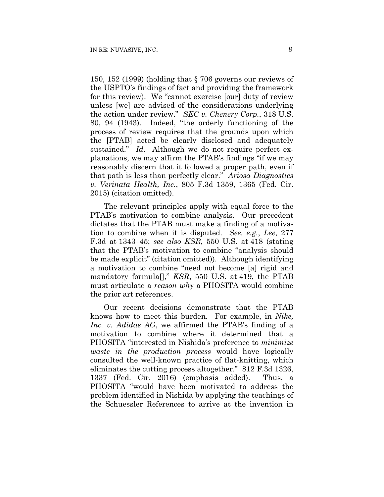150, 152 (1999) (holding that § 706 governs our reviews of the USPTO's findings of fact and providing the framework for this review). We "cannot exercise [our] duty of review unless [we] are advised of the considerations underlying the action under review." *SEC v. Chenery Corp.*, 318 U.S. 80, 94 (1943). Indeed, "the orderly functioning of the process of review requires that the grounds upon which the [PTAB] acted be clearly disclosed and adequately sustained." *Id.* Although we do not require perfect explanations, we may affirm the PTAB's findings "if we may reasonably discern that it followed a proper path, even if that path is less than perfectly clear." *Ariosa Diagnostics v. Verinata Health, Inc.*, 805 F.3d 1359, 1365 (Fed. Cir. 2015) (citation omitted).

The relevant principles apply with equal force to the PTAB's motivation to combine analysis. Our precedent dictates that the PTAB must make a finding of a motivation to combine when it is disputed. *See, e.g.*, *Lee*, 277 F.3d at 1343–45; *see also KSR*, 550 U.S. at 418 (stating that the PTAB's motivation to combine "analysis should be made explicit" (citation omitted)). Although identifying a motivation to combine "need not become [a] rigid and mandatory formula[]," *KSR*, 550 U.S. at 419, the PTAB must articulate a *reason why* a PHOSITA would combine the prior art references.

Our recent decisions demonstrate that the PTAB knows how to meet this burden. For example, in *Nike, Inc. v. Adidas AG*, we affirmed the PTAB's finding of a motivation to combine where it determined that a PHOSITA "interested in Nishida's preference to *minimize waste in the production process* would have logically consulted the well-known practice of flat-knitting, which eliminates the cutting process altogether." 812 F.3d 1326, 1337 (Fed. Cir. 2016) (emphasis added). Thus, a PHOSITA "would have been motivated to address the problem identified in Nishida by applying the teachings of the Schuessler References to arrive at the invention in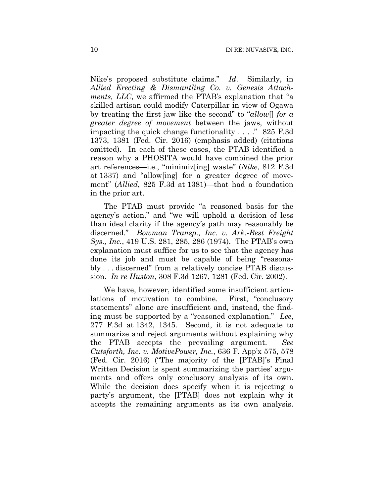Nike's proposed substitute claims." *Id*. Similarly, in *Allied Erecting & Dismantling Co. v. Genesis Attachments, LLC*, we affirmed the PTAB's explanation that "a skilled artisan could modify Caterpillar in view of Ogawa by treating the first jaw like the second" to "*allow*[] *for a greater degree of movement* between the jaws, without impacting the quick change functionality . . . ." 825 F.3d 1373, 1381 (Fed. Cir. 2016) (emphasis added) (citations omitted). In each of these cases, the PTAB identified a reason why a PHOSITA would have combined the prior art references—i.e., "minimiz[ing] waste" (*Nike*, 812 F.3d at 1337) and "allow[ing] for a greater degree of movement" (*Allied*, 825 F.3d at 1381)—that had a foundation in the prior art.

The PTAB must provide "a reasoned basis for the agency's action," and "we will uphold a decision of less than ideal clarity if the agency's path may reasonably be discerned." *Bowman Transp., Inc. v. Ark.-Best Freight Sys., Inc.*, 419 U.S. 281, 285, 286 (1974). The PTAB's own explanation must suffice for us to see that the agency has done its job and must be capable of being "reasonably . . . discerned" from a relatively concise PTAB discussion. *In re Huston*, 308 F.3d 1267, 1281 (Fed. Cir. 2002).

We have, however, identified some insufficient articulations of motivation to combine. First, "conclusory statements" alone are insufficient and, instead, the finding must be supported by a "reasoned explanation." *Lee*, 277 F.3d at 1342, 1345. Second, it is not adequate to summarize and reject arguments without explaining why the PTAB accepts the prevailing argument. *See Cutsforth, Inc. v. MotivePower, Inc.*, 636 F. App'x 575, 578 (Fed. Cir. 2016) ("The majority of the [PTAB]'s Final Written Decision is spent summarizing the parties' arguments and offers only conclusory analysis of its own. While the decision does specify when it is rejecting a party's argument, the [PTAB] does not explain why it accepts the remaining arguments as its own analysis.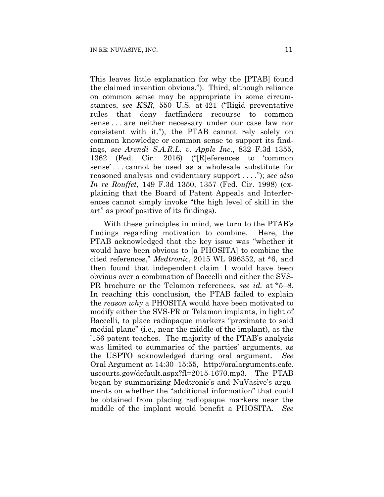This leaves little explanation for why the [PTAB] found the claimed invention obvious."). Third, although reliance on common sense may be appropriate in some circumstances, *see KSR*, 550 U.S. at 421 ("Rigid preventative rules that deny factfinders recourse to common sense . . . are neither necessary under our case law nor consistent with it."), the PTAB cannot rely solely on common knowledge or common sense to support its findings, *see Arendi S.A.R.L. v. Apple Inc.*, 832 F.3d 1355, 1362 (Fed. Cir. 2016) ("[R]eferences to 'common sense' . . . cannot be used as a wholesale substitute for reasoned analysis and evidentiary support . . . ."); *see also In re Rouffet*, 149 F.3d 1350, 1357 (Fed. Cir. 1998) (explaining that the Board of Patent Appeals and Interferences cannot simply invoke "the high level of skill in the art" as proof positive of its findings).

With these principles in mind, we turn to the PTAB's findings regarding motivation to combine. Here, the PTAB acknowledged that the key issue was "whether it would have been obvious to [a PHOSITA] to combine the cited references," *Medtronic*, 2015 WL 996352, at \*6, and then found that independent claim 1 would have been obvious over a combination of Baccelli and either the SVS-PR brochure or the Telamon references, *see id.* at \*5–8. In reaching this conclusion, the PTAB failed to explain the *reason why* a PHOSITA would have been motivated to modify either the SVS-PR or Telamon implants, in light of Baccelli, to place radiopaque markers "proximate to said medial plane" (i.e., near the middle of the implant), as the '156 patent teaches. The majority of the PTAB's analysis was limited to summaries of the parties' arguments, as the USPTO acknowledged during oral argument. *See*  Oral Argument at 14:30–15:55, http://oralarguments.cafc. uscourts.gov/default.aspx?fl=2015-1670.mp3. The PTAB began by summarizing Medtronic's and NuVasive's arguments on whether the "additional information" that could be obtained from placing radiopaque markers near the middle of the implant would benefit a PHOSITA. *See*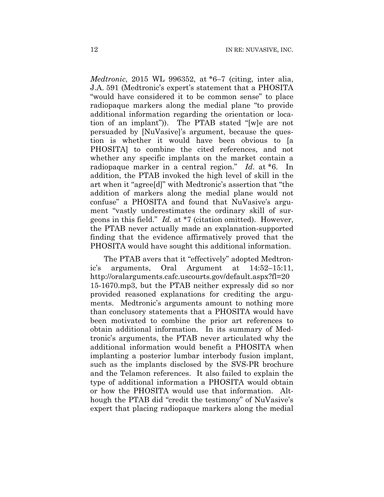*Medtronic*, 2015 WL 996352, at \*6–7 (citing, inter alia, J.A. 591 (Medtronic's expert's statement that a PHOSITA "would have considered it to be common sense" to place radiopaque markers along the medial plane "to provide additional information regarding the orientation or location of an implant")). The PTAB stated "[w]e are not persuaded by [NuVasive]'s argument, because the question is whether it would have been obvious to [a PHOSITA] to combine the cited references, and not whether any specific implants on the market contain a radiopaque marker in a central region." *Id*. at \*6. In addition, the PTAB invoked the high level of skill in the art when it "agree[d]" with Medtronic's assertion that "the addition of markers along the medial plane would not confuse" a PHOSITA and found that NuVasive's argument "vastly underestimates the ordinary skill of surgeons in this field." *Id.* at \*7 (citation omitted). However, the PTAB never actually made an explanation-supported finding that the evidence affirmatively proved that the PHOSITA would have sought this additional information.

The PTAB avers that it "effectively" adopted Medtronic's arguments, Oral Argument at 14:52–15:11, http://oralarguments.cafc.uscourts.gov/default.aspx?fl=20 15-1670.mp3, but the PTAB neither expressly did so nor provided reasoned explanations for crediting the arguments. Medtronic's arguments amount to nothing more than conclusory statements that a PHOSITA would have been motivated to combine the prior art references to obtain additional information. In its summary of Medtronic's arguments, the PTAB never articulated why the additional information would benefit a PHOSITA when implanting a posterior lumbar interbody fusion implant, such as the implants disclosed by the SVS-PR brochure and the Telamon references. It also failed to explain the type of additional information a PHOSITA would obtain or how the PHOSITA would use that information. Although the PTAB did "credit the testimony" of NuVasive's expert that placing radiopaque markers along the medial